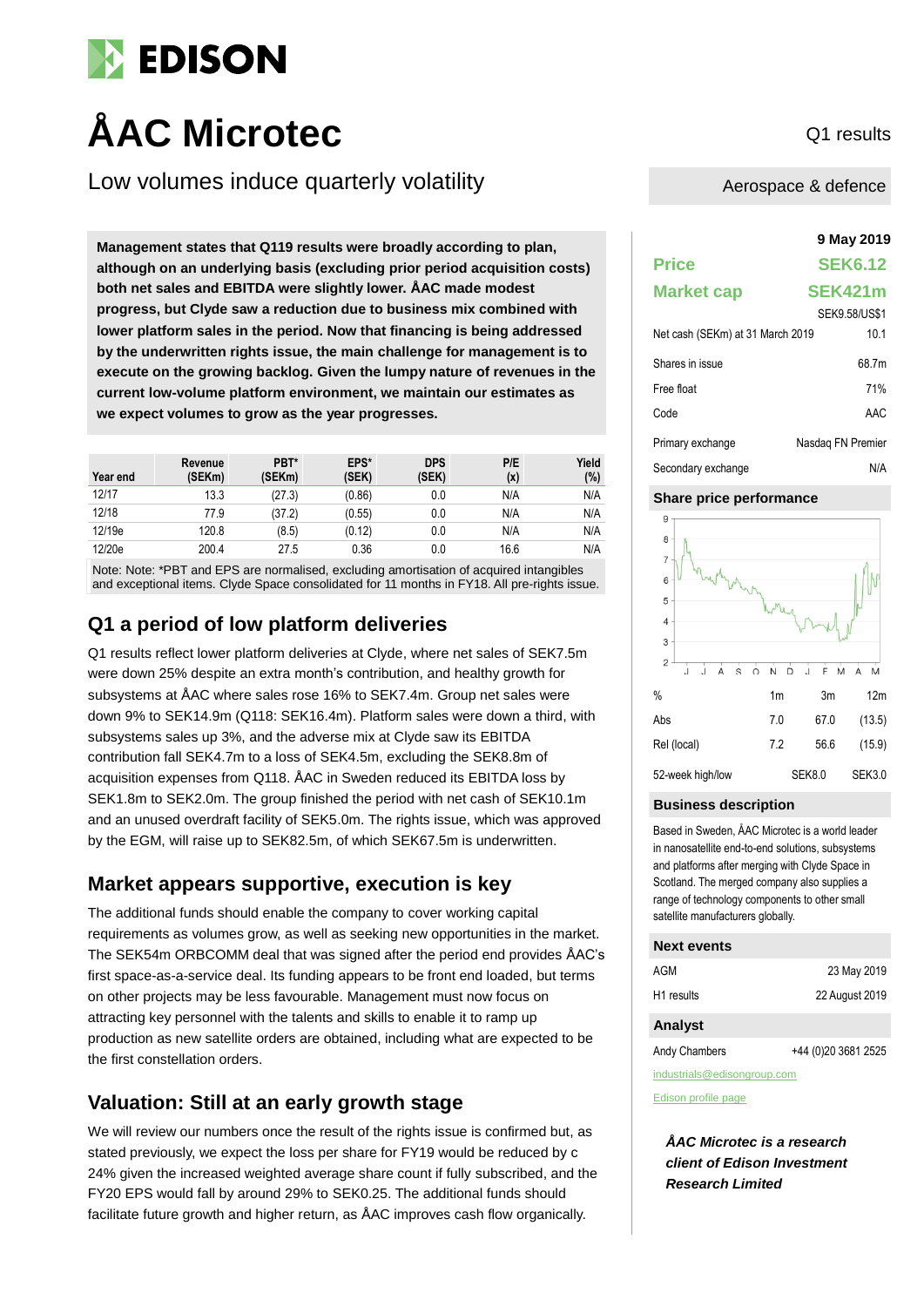

# AAC Microtec Q1 results

Low volumes induce quarterly volatility

**9 May 2019 Management states that Q119 results were broadly according to plan, although on an underlying basis (excluding prior period acquisition costs) both net sales and EBITDA were slightly lower. ÅAC made modest progress, but Clyde saw a reduction due to business mix combined with lower platform sales in the period. Now that financing is being addressed by the underwritten rights issue, the main challenge for management is to execute on the growing backlog. Given the lumpy nature of revenues in the current low-volume platform environment, we maintain our estimates as we expect volumes to grow as the year progresses.**

| Year end | Revenue<br>(SEKm) | PBT*<br>(SEKm) | EPS*<br>(SEK) | <b>DPS</b><br>(SEK) | P/E<br>(x) | Yield<br>(%) |
|----------|-------------------|----------------|---------------|---------------------|------------|--------------|
| 12/17    | 13.3              | (27.3)         | (0.86)        | 0.0                 | N/A        | N/A          |
| 12/18    | 77.9              | (37.2)         | (0.55)        | 0.0                 | N/A        | N/A          |
| 12/19e   | 120.8             | (8.5)          | (0.12)        | 0.0                 | N/A        | N/A          |
| 12/20e   | 200.4             | 27.5           | 0.36          | 0.0                 | 16.6       | N/A          |

Note: Note: \*PBT and EPS are normalised, excluding amortisation of acquired intangibles and exceptional items. Clyde Space consolidated for 11 months in FY18. All pre-rights issue.

# **Q1 a period of low platform deliveries**

Q1 results reflect lower platform deliveries at Clyde, where net sales of SEK7.5m were down 25% despite an extra month's contribution, and healthy growth for subsystems at ÅAC where sales rose 16% to SEK7.4m. Group net sales were down 9% to SEK14.9m (Q118: SEK16.4m). Platform sales were down a third, with subsystems sales up 3%, and the adverse mix at Clyde saw its EBITDA contribution fall SEK4.7m to a loss of SEK4.5m, excluding the SEK8.8m of acquisition expenses from Q118. ÅAC in Sweden reduced its EBITDA loss by SEK1.8m to SEK2.0m. The group finished the period with net cash of SEK10.1m and an unused overdraft facility of SEK5.0m. The rights issue, which was approved by the EGM, will raise up to SEK82.5m, of which SEK67.5m is underwritten.

## **Market appears supportive, execution is key**

The additional funds should enable the company to cover working capital requirements as volumes grow, as well as seeking new opportunities in the market. The SEK54m ORBCOMM deal that was signed after the period end provides ÅAC's first space-as-a-service deal. Its funding appears to be front end loaded, but terms on other projects may be less favourable. Management must now focus on attracting key personnel with the talents and skills to enable it to ramp up production as new satellite orders are obtained, including what are expected to be the first constellation orders.

# **Valuation: Still at an early growth stage**

We will review our numbers once the result of the rights issue is confirmed but, as stated previously, we expect the loss per share for FY19 would be reduced by c 24% given the increased weighted average share count if fully subscribed, and the FY20 EPS would fall by around 29% to SEK0.25. The additional funds should facilitate future growth and higher return, as ÅAC improves cash flow organically.

Aerospace & defence

| <b>Price</b>                     | <b>SEK6.12</b>    |
|----------------------------------|-------------------|
| <b>Market cap</b>                | SEK421m           |
|                                  | SEK9.58/US\$1     |
| Net cash (SEKm) at 31 March 2019 | 10.1              |
| Shares in issue                  | 68.7m             |
| Free float                       | 71%               |
| Code                             | AAC               |
| Primary exchange                 | Nasdag FN Premier |
| Secondary exchange               | N/A               |

#### **Share price performance**



#### **Business description**

Based in Sweden, ÅAC Microtec is a world leader in nanosatellite end-to-end solutions, subsystems and platforms after merging with Clyde Space in Scotland. The merged company also supplies a range of technology components to other small satellite manufacturers globally.

#### **Next events**

| AGM                    | 23 May 2019    |
|------------------------|----------------|
| H <sub>1</sub> results | 22 August 2019 |

#### **Analyst**

Andy Chambers +44 (0)20 3681 2525

industrials@edisongroup.com

[Edison profile page](https://www.edisongroup.com/company/aac-microtec)

*ÅAC Microtec is a research client of Edison Investment Research Limited*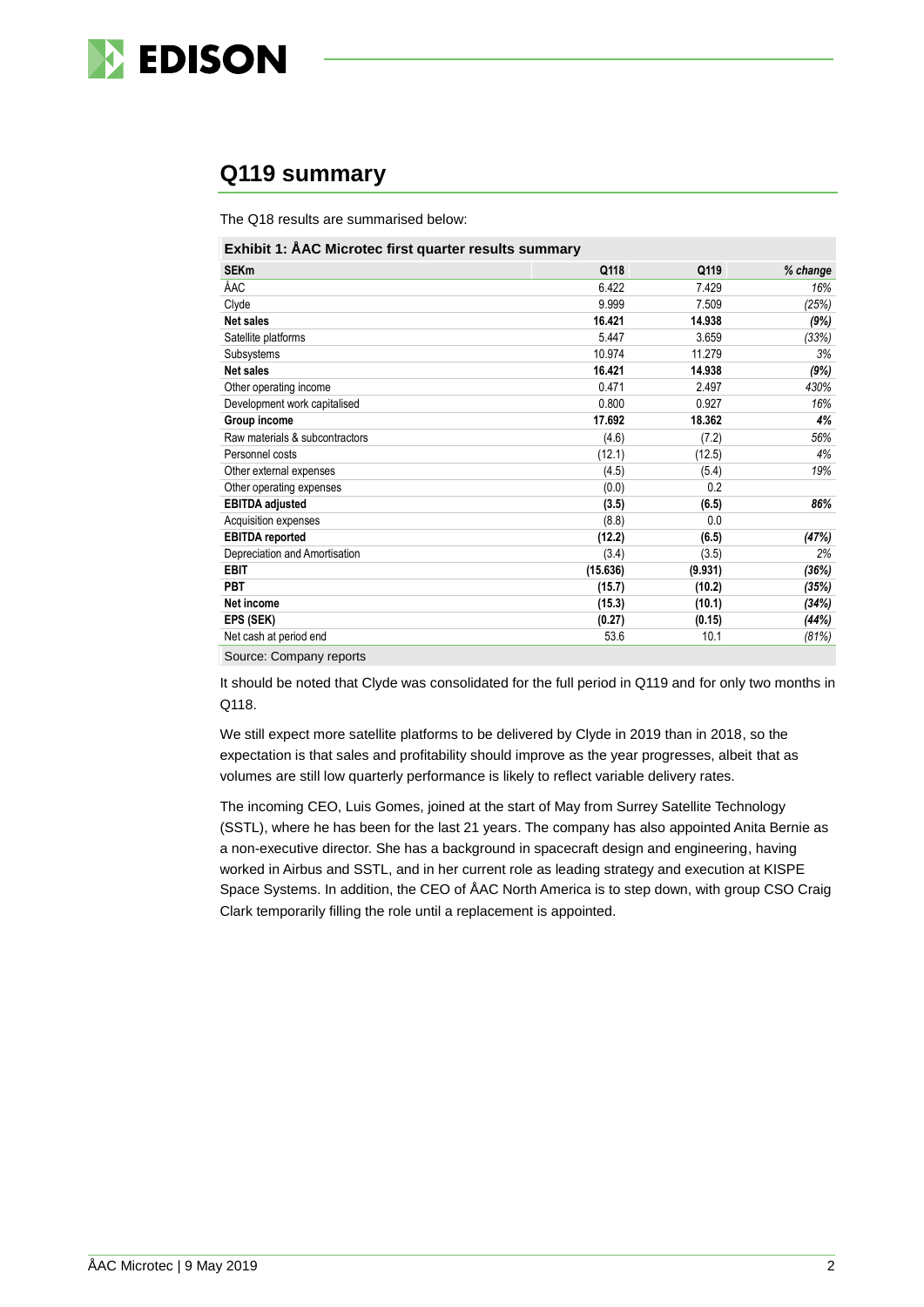

# **Q119 summary**

The Q18 results are summarised below:

| Exhibit 1: ÅAC Microtec first quarter results summary |          |         |          |  |
|-------------------------------------------------------|----------|---------|----------|--|
| <b>SEKm</b>                                           | Q118     | Q119    | % change |  |
| ÅAC                                                   | 6.422    | 7.429   | 16%      |  |
| Clyde                                                 | 9.999    | 7.509   | (25%)    |  |
| Net sales                                             | 16.421   | 14.938  | (9%)     |  |
| Satellite platforms                                   | 5.447    | 3.659   | (33%)    |  |
| Subsystems                                            | 10.974   | 11.279  | 3%       |  |
| <b>Net sales</b>                                      | 16.421   | 14.938  | (9%)     |  |
| Other operating income                                | 0.471    | 2.497   | 430%     |  |
| Development work capitalised                          | 0.800    | 0.927   | 16%      |  |
| Group income                                          | 17.692   | 18.362  | 4%       |  |
| Raw materials & subcontractors                        | (4.6)    | (7.2)   | 56%      |  |
| Personnel costs                                       | (12.1)   | (12.5)  | 4%       |  |
| Other external expenses                               | (4.5)    | (5.4)   | 19%      |  |
| Other operating expenses                              | (0.0)    | 0.2     |          |  |
| <b>EBITDA</b> adjusted                                | (3.5)    | (6.5)   | 86%      |  |
| Acquisition expenses                                  | (8.8)    | 0.0     |          |  |
| <b>EBITDA</b> reported                                | (12.2)   | (6.5)   | (47%)    |  |
| Depreciation and Amortisation                         | (3.4)    | (3.5)   | 2%       |  |
| <b>EBIT</b>                                           | (15.636) | (9.931) | (36%)    |  |
| <b>PBT</b>                                            | (15.7)   | (10.2)  | (35%)    |  |
| Net income                                            | (15.3)   | (10.1)  | (34%)    |  |
| EPS (SEK)                                             | (0.27)   | (0.15)  | (44%)    |  |
| Net cash at period end                                | 53.6     | 10.1    | (81%)    |  |
|                                                       |          |         |          |  |

Source: Company reports

It should be noted that Clyde was consolidated for the full period in Q119 and for only two months in Q118.

We still expect more satellite platforms to be delivered by Clyde in 2019 than in 2018, so the expectation is that sales and profitability should improve as the year progresses, albeit that as volumes are still low quarterly performance is likely to reflect variable delivery rates.

The incoming CEO, Luis Gomes, joined at the start of May from Surrey Satellite Technology (SSTL), where he has been for the last 21 years. The company has also appointed Anita Bernie as a non-executive director. She has a background in spacecraft design and engineering, having worked in Airbus and SSTL, and in her current role as leading strategy and execution at KISPE Space Systems. In addition, the CEO of ÅAC North America is to step down, with group CSO Craig Clark temporarily filling the role until a replacement is appointed.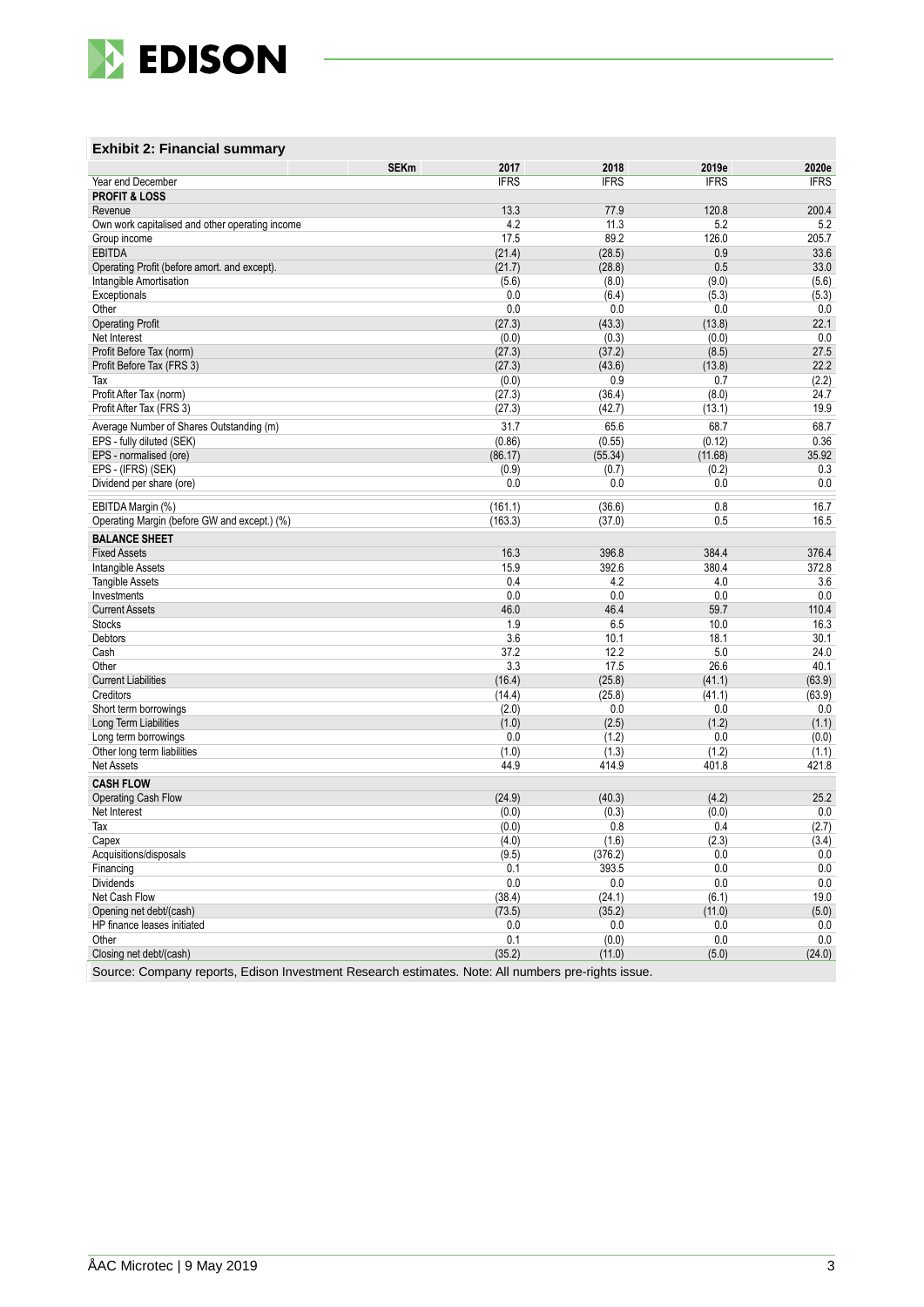

### **Exhibit 2: Financial summary**

|                                                       | <b>SEKm</b><br>2017 | 2018              | 2019e           | 2020e           |
|-------------------------------------------------------|---------------------|-------------------|-----------------|-----------------|
| Year end December                                     | <b>IFRS</b>         | <b>IFRS</b>       | <b>IFRS</b>     | <b>IFRS</b>     |
| <b>PROFIT &amp; LOSS</b>                              |                     |                   |                 |                 |
| Revenue                                               | 13.3                | 77.9              | 120.8           | 200.4           |
| Own work capitalised and other operating income       | 4.2                 | 11.3              | 5.2             | 5.2             |
| Group income                                          | 17.5                | 89.2              | 126.0           | 205.7           |
| <b>EBITDA</b>                                         | (21.4)              | (28.5)            | 0.9             | 33.6            |
| Operating Profit (before amort, and except).          | (21.7)              | (28.8)            | 0.5             | 33.0            |
| Intangible Amortisation                               | (5.6)               | (8.0)             | (9.0)           | (5.6)           |
| Exceptionals                                          | 0.0                 | (6.4)             | (5.3)           | (5.3)           |
| Other                                                 | 0.0                 | 0.0               | 0.0             | 0.0             |
| <b>Operating Profit</b>                               | (27.3)              | (43.3)            | (13.8)          | 22.1            |
| Net Interest                                          | (0.0)               | (0.3)             | (0.0)           | 0.0             |
| Profit Before Tax (norm)<br>Profit Before Tax (FRS 3) | (27.3)<br>(27.3)    | (37.2)<br>(43.6)  | (8.5)<br>(13.8) | 27.5<br>22.2    |
| Tax                                                   | (0.0)               | 0.9               | 0.7             | (2.2)           |
| Profit After Tax (norm)                               | (27.3)              | (36.4)            | (8.0)           | 24.7            |
| Profit After Tax (FRS 3)                              | (27.3)              | (42.7)            | (13.1)          | 19.9            |
|                                                       |                     |                   |                 |                 |
| Average Number of Shares Outstanding (m)              | 31.7                | 65.6              | 68.7            | 68.7            |
| EPS - fully diluted (SEK)                             | (0.86)              | (0.55)            | (0.12)          | 0.36            |
| EPS - normalised (ore)                                | (86.17)             | (55.34)           | (11.68)         | 35.92           |
| EPS - (IFRS) (SEK)                                    | (0.9)<br>0.0        | (0.7)<br>0.0      | (0.2)<br>0.0    | 0.3<br>0.0      |
| Dividend per share (ore)                              |                     |                   |                 |                 |
| EBITDA Margin (%)                                     | (161.1)             | (36.6)            | 0.8             | 16.7            |
| Operating Margin (before GW and except.) (%)          | (163.3)             | (37.0)            | 0.5             | 16.5            |
| <b>BALANCE SHEET</b>                                  |                     |                   |                 |                 |
| <b>Fixed Assets</b>                                   | 16.3                | 396.8             | 384.4           | 376.4           |
| Intangible Assets                                     | 15.9                | 392.6             | 380.4           | 372.8           |
| <b>Tangible Assets</b>                                | 0.4                 | 4.2               | 4.0             | 3.6             |
| Investments                                           | 0.0                 | 0.0               | 0.0             | 0.0             |
| <b>Current Assets</b>                                 | 46.0                | 46.4              | 59.7            | 110.4           |
| <b>Stocks</b>                                         | 1.9                 | 6.5               | 10.0            | 16.3            |
| Debtors                                               | 3.6                 | 10.1              | 18.1            | 30.1            |
| Cash                                                  | 37.2                | 12.2              | 5.0             | 24.0            |
| Other                                                 | 3.3                 | 17.5              | 26.6            | 40.1            |
| <b>Current Liabilities</b>                            | (16.4)              | (25.8)            | (41.1)          | (63.9)          |
| Creditors                                             | (14.4)              | (25.8)            | (41.1)          | (63.9)          |
| Short term borrowings                                 | (2.0)               | 0.0               | 0.0             | 0.0             |
| Long Term Liabilities                                 | (1.0)               | (2.5)             | (1.2)           | (1.1)           |
| Long term borrowings                                  | 0.0                 | (1.2)             | 0.0             | (0.0)           |
| Other long term liabilities                           | (1.0)               | (1.3)             | (1.2)           | (1.1)           |
| <b>Net Assets</b>                                     | 44.9                | 414.9             | 401.8           | 421.8           |
| <b>CASH FLOW</b>                                      |                     |                   |                 |                 |
| <b>Operating Cash Flow</b>                            | (24.9)              | (40.3)            | (4.2)           | 25.2            |
| Net Interest                                          | (0.0)               | (0.3)             | (0.0)           | 0.0             |
| Tax                                                   | (0.0)               | 0.8               | 0.4             | (2.7)           |
| Capex                                                 | (4.0)               | (1.6)             | (2.3)           | (3.4)           |
| Acquisitions/disposals                                | (9.5)               | (376.2)           | 0.0             | 0.0             |
| Financing<br>Dividends                                | 0.1<br>0.0          | 393.5             | 0.0<br>0.0      | 0.0             |
| Net Cash Flow                                         | (38.4)              | $0.0\,$<br>(24.1) | (6.1)           | $0.0\,$<br>19.0 |
| Opening net debt/(cash)                               | (73.5)              | (35.2)            | (11.0)          | (5.0)           |
| HP finance leases initiated                           | 0.0                 | 0.0               | 0.0             | 0.0             |
| Other                                                 | 0.1                 | (0.0)             | $0.0\,$         | $0.0\,$         |
| Closing net debt/(cash)                               | (35.2)              | (11.0)            | (5.0)           | (24.0)          |
|                                                       |                     |                   |                 |                 |

Source: Company reports, Edison Investment Research estimates. Note: All numbers pre-rights issue.